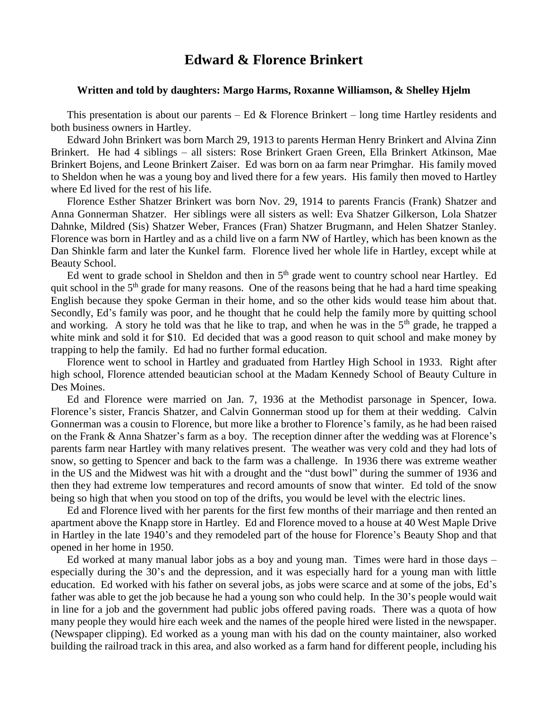## **Edward & Florence Brinkert**

## **Written and told by daughters: Margo Harms, Roxanne Williamson, & Shelley Hjelm**

This presentation is about our parents – Ed & Florence Brinkert – long time Hartley residents and both business owners in Hartley.

Edward John Brinkert was born March 29, 1913 to parents Herman Henry Brinkert and Alvina Zinn Brinkert. He had 4 siblings – all sisters: Rose Brinkert Graen Green, Ella Brinkert Atkinson, Mae Brinkert Bojens, and Leone Brinkert Zaiser. Ed was born on aa farm near Primghar. His family moved to Sheldon when he was a young boy and lived there for a few years. His family then moved to Hartley where Ed lived for the rest of his life.

Florence Esther Shatzer Brinkert was born Nov. 29, 1914 to parents Francis (Frank) Shatzer and Anna Gonnerman Shatzer. Her siblings were all sisters as well: Eva Shatzer Gilkerson, Lola Shatzer Dahnke, Mildred (Sis) Shatzer Weber, Frances (Fran) Shatzer Brugmann, and Helen Shatzer Stanley. Florence was born in Hartley and as a child live on a farm NW of Hartley, which has been known as the Dan Shinkle farm and later the Kunkel farm. Florence lived her whole life in Hartley, except while at Beauty School.

Ed went to grade school in Sheldon and then in 5<sup>th</sup> grade went to country school near Hartley. Ed quit school in the  $5<sup>th</sup>$  grade for many reasons. One of the reasons being that he had a hard time speaking English because they spoke German in their home, and so the other kids would tease him about that. Secondly, Ed's family was poor, and he thought that he could help the family more by quitting school and working. A story he told was that he like to trap, and when he was in the  $5<sup>th</sup>$  grade, he trapped a white mink and sold it for \$10. Ed decided that was a good reason to quit school and make money by trapping to help the family. Ed had no further formal education.

Florence went to school in Hartley and graduated from Hartley High School in 1933. Right after high school, Florence attended beautician school at the Madam Kennedy School of Beauty Culture in Des Moines.

Ed and Florence were married on Jan. 7, 1936 at the Methodist parsonage in Spencer, Iowa. Florence's sister, Francis Shatzer, and Calvin Gonnerman stood up for them at their wedding. Calvin Gonnerman was a cousin to Florence, but more like a brother to Florence's family, as he had been raised on the Frank & Anna Shatzer's farm as a boy. The reception dinner after the wedding was at Florence's parents farm near Hartley with many relatives present. The weather was very cold and they had lots of snow, so getting to Spencer and back to the farm was a challenge. In 1936 there was extreme weather in the US and the Midwest was hit with a drought and the "dust bowl" during the summer of 1936 and then they had extreme low temperatures and record amounts of snow that winter. Ed told of the snow being so high that when you stood on top of the drifts, you would be level with the electric lines.

Ed and Florence lived with her parents for the first few months of their marriage and then rented an apartment above the Knapp store in Hartley. Ed and Florence moved to a house at 40 West Maple Drive in Hartley in the late 1940's and they remodeled part of the house for Florence's Beauty Shop and that opened in her home in 1950.

Ed worked at many manual labor jobs as a boy and young man. Times were hard in those days – especially during the 30's and the depression, and it was especially hard for a young man with little education. Ed worked with his father on several jobs, as jobs were scarce and at some of the jobs, Ed's father was able to get the job because he had a young son who could help. In the 30's people would wait in line for a job and the government had public jobs offered paving roads. There was a quota of how many people they would hire each week and the names of the people hired were listed in the newspaper. (Newspaper clipping). Ed worked as a young man with his dad on the county maintainer, also worked building the railroad track in this area, and also worked as a farm hand for different people, including his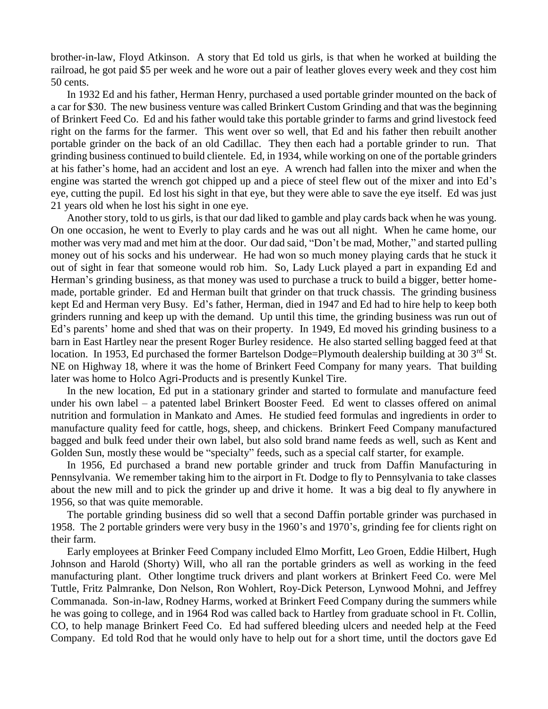brother-in-law, Floyd Atkinson. A story that Ed told us girls, is that when he worked at building the railroad, he got paid \$5 per week and he wore out a pair of leather gloves every week and they cost him 50 cents.

In 1932 Ed and his father, Herman Henry, purchased a used portable grinder mounted on the back of a car for \$30. The new business venture was called Brinkert Custom Grinding and that was the beginning of Brinkert Feed Co. Ed and his father would take this portable grinder to farms and grind livestock feed right on the farms for the farmer. This went over so well, that Ed and his father then rebuilt another portable grinder on the back of an old Cadillac. They then each had a portable grinder to run. That grinding business continued to build clientele. Ed, in 1934, while working on one of the portable grinders at his father's home, had an accident and lost an eye. A wrench had fallen into the mixer and when the engine was started the wrench got chipped up and a piece of steel flew out of the mixer and into Ed's eye, cutting the pupil. Ed lost his sight in that eye, but they were able to save the eye itself. Ed was just 21 years old when he lost his sight in one eye.

Another story, told to us girls, is that our dad liked to gamble and play cards back when he was young. On one occasion, he went to Everly to play cards and he was out all night. When he came home, our mother was very mad and met him at the door. Our dad said, "Don't be mad, Mother," and started pulling money out of his socks and his underwear. He had won so much money playing cards that he stuck it out of sight in fear that someone would rob him. So, Lady Luck played a part in expanding Ed and Herman's grinding business, as that money was used to purchase a truck to build a bigger, better homemade, portable grinder. Ed and Herman built that grinder on that truck chassis. The grinding business kept Ed and Herman very Busy. Ed's father, Herman, died in 1947 and Ed had to hire help to keep both grinders running and keep up with the demand. Up until this time, the grinding business was run out of Ed's parents' home and shed that was on their property. In 1949, Ed moved his grinding business to a barn in East Hartley near the present Roger Burley residence. He also started selling bagged feed at that location. In 1953, Ed purchased the former Bartelson Dodge=Plymouth dealership building at 30 3<sup>rd</sup> St. NE on Highway 18, where it was the home of Brinkert Feed Company for many years. That building later was home to Holco Agri-Products and is presently Kunkel Tire.

In the new location, Ed put in a stationary grinder and started to formulate and manufacture feed under his own label – a patented label Brinkert Booster Feed. Ed went to classes offered on animal nutrition and formulation in Mankato and Ames. He studied feed formulas and ingredients in order to manufacture quality feed for cattle, hogs, sheep, and chickens. Brinkert Feed Company manufactured bagged and bulk feed under their own label, but also sold brand name feeds as well, such as Kent and Golden Sun, mostly these would be "specialty" feeds, such as a special calf starter, for example.

In 1956, Ed purchased a brand new portable grinder and truck from Daffin Manufacturing in Pennsylvania. We remember taking him to the airport in Ft. Dodge to fly to Pennsylvania to take classes about the new mill and to pick the grinder up and drive it home. It was a big deal to fly anywhere in 1956, so that was quite memorable.

The portable grinding business did so well that a second Daffin portable grinder was purchased in 1958. The 2 portable grinders were very busy in the 1960's and 1970's, grinding fee for clients right on their farm.

Early employees at Brinker Feed Company included Elmo Morfitt, Leo Groen, Eddie Hilbert, Hugh Johnson and Harold (Shorty) Will, who all ran the portable grinders as well as working in the feed manufacturing plant. Other longtime truck drivers and plant workers at Brinkert Feed Co. were Mel Tuttle, Fritz Palmranke, Don Nelson, Ron Wohlert, Roy-Dick Peterson, Lynwood Mohni, and Jeffrey Commanada. Son-in-law, Rodney Harms, worked at Brinkert Feed Company during the summers while he was going to college, and in 1964 Rod was called back to Hartley from graduate school in Ft. Collin, CO, to help manage Brinkert Feed Co. Ed had suffered bleeding ulcers and needed help at the Feed Company. Ed told Rod that he would only have to help out for a short time, until the doctors gave Ed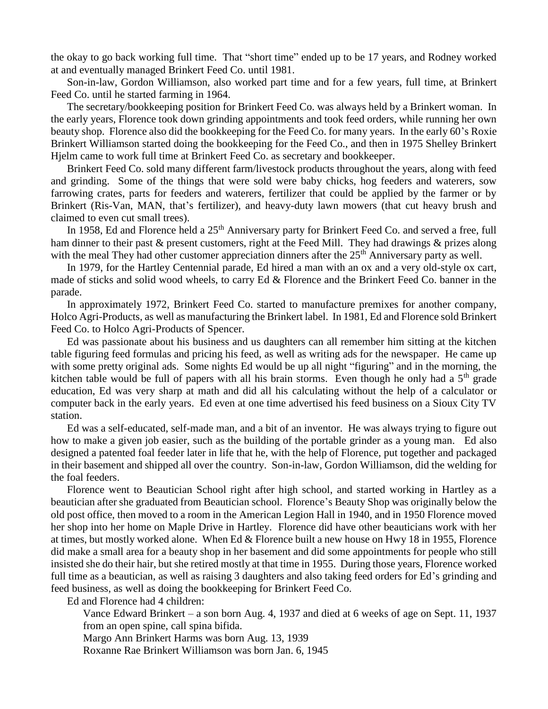the okay to go back working full time. That "short time" ended up to be 17 years, and Rodney worked at and eventually managed Brinkert Feed Co. until 1981.

Son-in-law, Gordon Williamson, also worked part time and for a few years, full time, at Brinkert Feed Co. until he started farming in 1964.

The secretary/bookkeeping position for Brinkert Feed Co. was always held by a Brinkert woman. In the early years, Florence took down grinding appointments and took feed orders, while running her own beauty shop. Florence also did the bookkeeping for the Feed Co. for many years. In the early 60's Roxie Brinkert Williamson started doing the bookkeeping for the Feed Co., and then in 1975 Shelley Brinkert Hjelm came to work full time at Brinkert Feed Co. as secretary and bookkeeper.

Brinkert Feed Co. sold many different farm/livestock products throughout the years, along with feed and grinding. Some of the things that were sold were baby chicks, hog feeders and waterers, sow farrowing crates, parts for feeders and waterers, fertilizer that could be applied by the farmer or by Brinkert (Ris-Van, MAN, that's fertilizer), and heavy-duty lawn mowers (that cut heavy brush and claimed to even cut small trees).

In 1958, Ed and Florence held a 25<sup>th</sup> Anniversary party for Brinkert Feed Co. and served a free, full ham dinner to their past & present customers, right at the Feed Mill. They had drawings & prizes along with the meal They had other customer appreciation dinners after the  $25<sup>th</sup>$  Anniversary party as well.

In 1979, for the Hartley Centennial parade, Ed hired a man with an ox and a very old-style ox cart, made of sticks and solid wood wheels, to carry Ed & Florence and the Brinkert Feed Co. banner in the parade.

In approximately 1972, Brinkert Feed Co. started to manufacture premixes for another company, Holco Agri-Products, as well as manufacturing the Brinkert label. In 1981, Ed and Florence sold Brinkert Feed Co. to Holco Agri-Products of Spencer.

Ed was passionate about his business and us daughters can all remember him sitting at the kitchen table figuring feed formulas and pricing his feed, as well as writing ads for the newspaper. He came up with some pretty original ads. Some nights Ed would be up all night "figuring" and in the morning, the kitchen table would be full of papers with all his brain storms. Even though he only had a  $5<sup>th</sup>$  grade education, Ed was very sharp at math and did all his calculating without the help of a calculator or computer back in the early years. Ed even at one time advertised his feed business on a Sioux City TV station.

Ed was a self-educated, self-made man, and a bit of an inventor. He was always trying to figure out how to make a given job easier, such as the building of the portable grinder as a young man. Ed also designed a patented foal feeder later in life that he, with the help of Florence, put together and packaged in their basement and shipped all over the country. Son-in-law, Gordon Williamson, did the welding for the foal feeders.

Florence went to Beautician School right after high school, and started working in Hartley as a beautician after she graduated from Beautician school. Florence's Beauty Shop was originally below the old post office, then moved to a room in the American Legion Hall in 1940, and in 1950 Florence moved her shop into her home on Maple Drive in Hartley. Florence did have other beauticians work with her at times, but mostly worked alone. When Ed & Florence built a new house on Hwy 18 in 1955, Florence did make a small area for a beauty shop in her basement and did some appointments for people who still insisted she do their hair, but she retired mostly at that time in 1955. During those years, Florence worked full time as a beautician, as well as raising 3 daughters and also taking feed orders for Ed's grinding and feed business, as well as doing the bookkeeping for Brinkert Feed Co.

Ed and Florence had 4 children:

Vance Edward Brinkert – a son born Aug. 4, 1937 and died at 6 weeks of age on Sept. 11, 1937 from an open spine, call spina bifida.

Margo Ann Brinkert Harms was born Aug. 13, 1939

Roxanne Rae Brinkert Williamson was born Jan. 6, 1945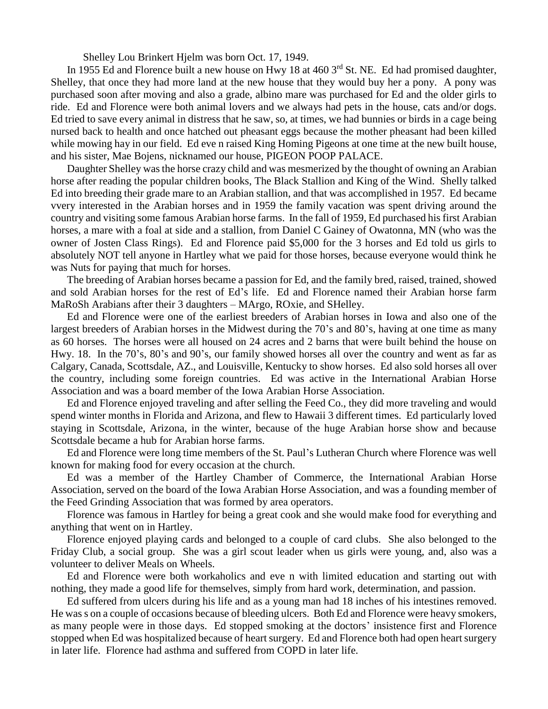Shelley Lou Brinkert Hjelm was born Oct. 17, 1949.

In 1955 Ed and Florence built a new house on Hwy 18 at 460 3<sup>rd</sup> St. NE. Ed had promised daughter, Shelley, that once they had more land at the new house that they would buy her a pony. A pony was purchased soon after moving and also a grade, albino mare was purchased for Ed and the older girls to ride. Ed and Florence were both animal lovers and we always had pets in the house, cats and/or dogs. Ed tried to save every animal in distress that he saw, so, at times, we had bunnies or birds in a cage being nursed back to health and once hatched out pheasant eggs because the mother pheasant had been killed while mowing hay in our field. Ed eve n raised King Homing Pigeons at one time at the new built house, and his sister, Mae Bojens, nicknamed our house, PIGEON POOP PALACE.

Daughter Shelley was the horse crazy child and was mesmerized by the thought of owning an Arabian horse after reading the popular children books, The Black Stallion and King of the Wind. Shelly talked Ed into breeding their grade mare to an Arabian stallion, and that was accomplished in 1957. Ed became vvery interested in the Arabian horses and in 1959 the family vacation was spent driving around the country and visiting some famous Arabian horse farms. In the fall of 1959, Ed purchased his first Arabian horses, a mare with a foal at side and a stallion, from Daniel C Gainey of Owatonna, MN (who was the owner of Josten Class Rings). Ed and Florence paid \$5,000 for the 3 horses and Ed told us girls to absolutely NOT tell anyone in Hartley what we paid for those horses, because everyone would think he was Nuts for paying that much for horses.

The breeding of Arabian horses became a passion for Ed, and the family bred, raised, trained, showed and sold Arabian horses for the rest of Ed's life. Ed and Florence named their Arabian horse farm MaRoSh Arabians after their 3 daughters – MArgo, ROxie, and SHelley.

Ed and Florence were one of the earliest breeders of Arabian horses in Iowa and also one of the largest breeders of Arabian horses in the Midwest during the 70's and 80's, having at one time as many as 60 horses. The horses were all housed on 24 acres and 2 barns that were built behind the house on Hwy. 18. In the 70's, 80's and 90's, our family showed horses all over the country and went as far as Calgary, Canada, Scottsdale, AZ., and Louisville, Kentucky to show horses. Ed also sold horses all over the country, including some foreign countries. Ed was active in the International Arabian Horse Association and was a board member of the Iowa Arabian Horse Association.

Ed and Florence enjoyed traveling and after selling the Feed Co., they did more traveling and would spend winter months in Florida and Arizona, and flew to Hawaii 3 different times. Ed particularly loved staying in Scottsdale, Arizona, in the winter, because of the huge Arabian horse show and because Scottsdale became a hub for Arabian horse farms.

Ed and Florence were long time members of the St. Paul's Lutheran Church where Florence was well known for making food for every occasion at the church.

Ed was a member of the Hartley Chamber of Commerce, the International Arabian Horse Association, served on the board of the Iowa Arabian Horse Association, and was a founding member of the Feed Grinding Association that was formed by area operators.

Florence was famous in Hartley for being a great cook and she would make food for everything and anything that went on in Hartley.

Florence enjoyed playing cards and belonged to a couple of card clubs. She also belonged to the Friday Club, a social group. She was a girl scout leader when us girls were young, and, also was a volunteer to deliver Meals on Wheels.

Ed and Florence were both workaholics and eve n with limited education and starting out with nothing, they made a good life for themselves, simply from hard work, determination, and passion.

Ed suffered from ulcers during his life and as a young man had 18 inches of his intestines removed. He wass on a couple of occasions because of bleeding ulcers. Both Ed and Florence were heavy smokers, as many people were in those days. Ed stopped smoking at the doctors' insistence first and Florence stopped when Ed was hospitalized because of heart surgery. Ed and Florence both had open heart surgery in later life. Florence had asthma and suffered from COPD in later life.